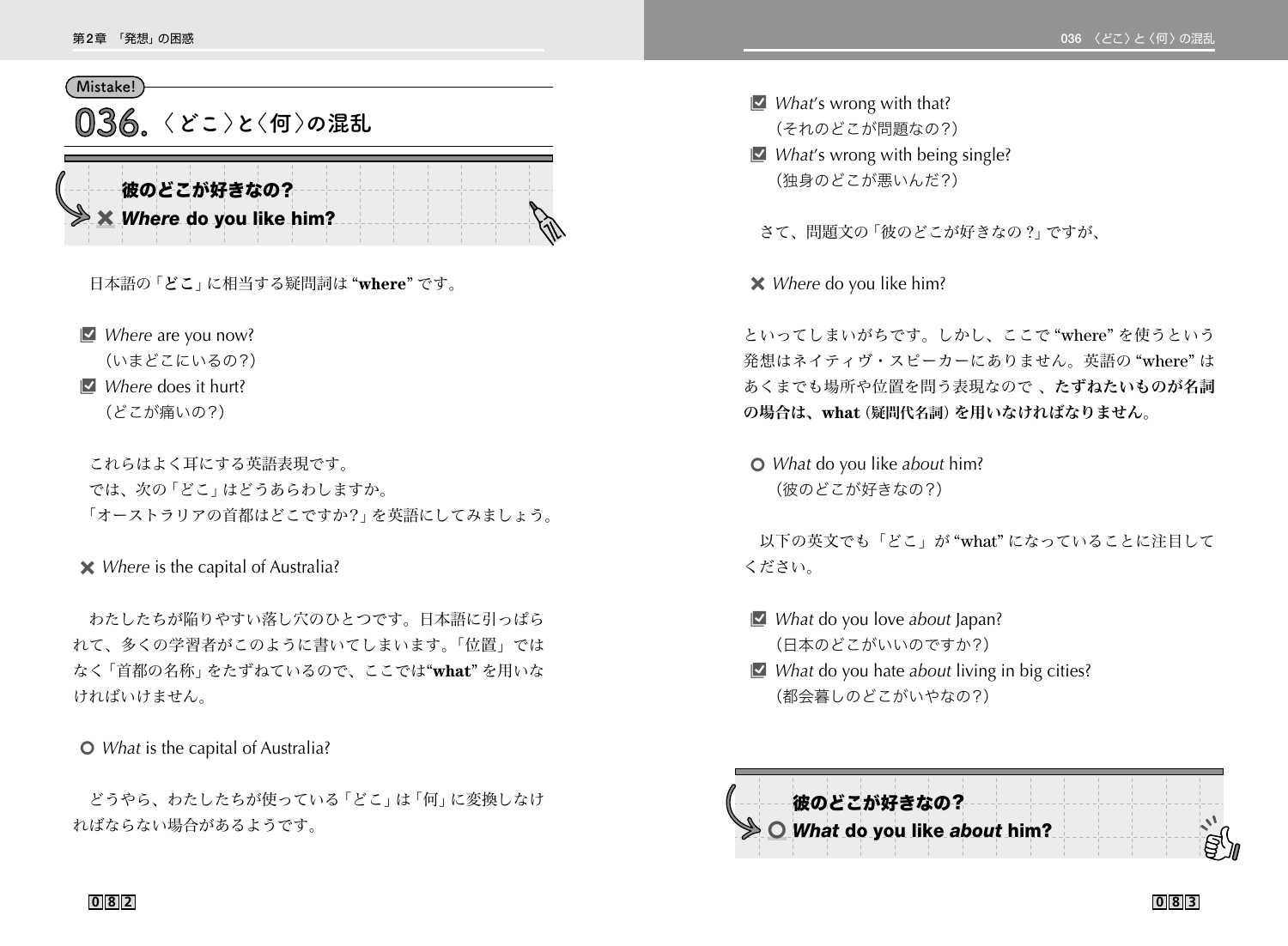## **Mistake!**

**036 〈どこ〉と〈何〉の混乱**

| 彼のどこが好きなの?               |  |  |  |  |  |  |
|--------------------------|--|--|--|--|--|--|
|                          |  |  |  |  |  |  |
| X Where do you like him? |  |  |  |  |  |  |
|                          |  |  |  |  |  |  |

日本語の「どこ」に相当する疑問詞は "**where**" です。

■ *Where* are you now?

(いまどこにいるの?)

**B** *Where* does it hurt?

(どこが痛いの?)

 これらはよく耳にする英語表現です。 では、次の「どこ」はどうあらわしますか。 「オーストラリアの首都はどこですか?」を英語にしてみましょう。

## 4 *Where* is the capital of Australia?

 わたしたちが陥りやすい落し穴のひとつです。日本語に引っぱら れて、多くの学習者がこのように書いてしまいます。「位置」では なく「首都の名称」をたずねているので、ここでは"**what**" を用いな ければいけません。

5 *What* is the capital of Australia?

 どうやら、わたしたちが使っている「どこ」は「何」に変換しなけ ればならない場合があるようです。

- **B** *What's* wrong with that? (それのどこが問題なの?)
- **B** *What's* wrong with being single? (独身のどこが悪いんだ?)

さて、問題文の「彼のどこが好きなの ?」ですが、

4 *Where* do you like him?

といってしまいがちです。しかし、ここで "where" を使うという 発想はネイティヴ・スピーカーにありません。英語の "where" は あくまでも場所や位置を問う表現なので 、たずねたいものが名詞 の場合は、**what**(疑問代名詞)を用いなければなりません。

5 *What* do you like *about* him? (彼のどこが好きなの?)

 以下の英文でも「どこ」が "what" になっていることに注目して ください。

- *What* do you love *about* Japan? (日本のどこがいいのですか?)
- **E** *What* do you hate *about* living in big cities? (都会暮しのどこがいやなの?)



**082 083**